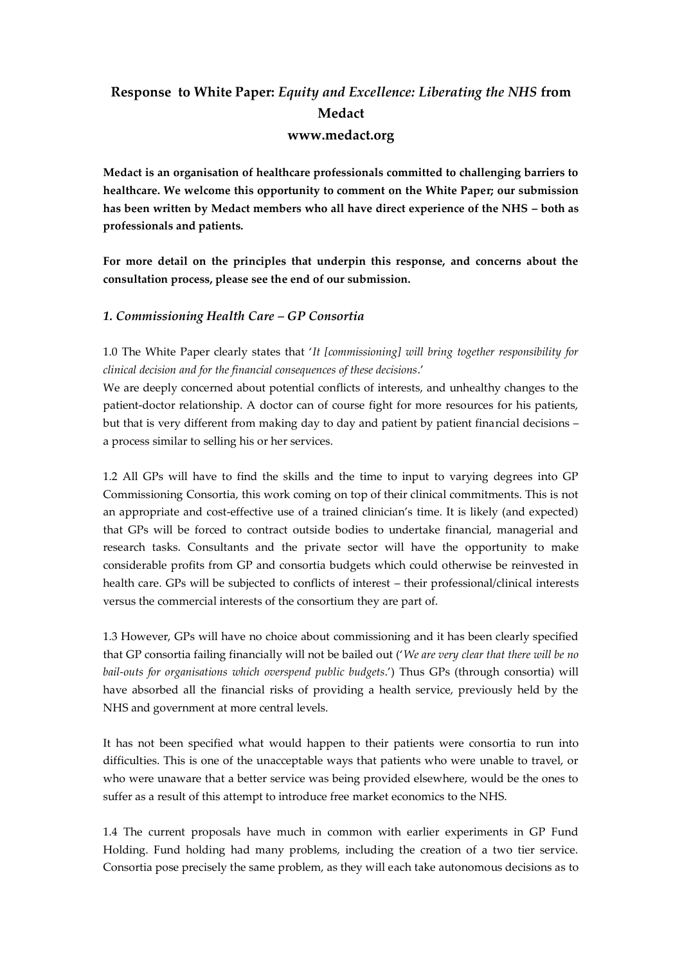# **Response to White Paper:** *Equity and Excellence: Liberating the NHS* **from Medact www.medact.org**

**Medact is an organisation of healthcare professionals committed to challenging barriers to healthcare. We welcome this opportunity to comment on the White Paper; our submission has been written by Medact members who all have direct experience of the NHS – both as professionals and patients.** 

**For more detail on the principles that underpin this response, and concerns about the consultation process, please see the end of our submission.** 

### *1. Commissioning Health Care – GP Consortia*

1.0 The White Paper clearly states that '*It [commissioning] will bring together responsibility for clinical decision and for the financial consequences of these decisions*.'

We are deeply concerned about potential conflicts of interests, and unhealthy changes to the patient-doctor relationship. A doctor can of course fight for more resources for his patients, but that is very different from making day to day and patient by patient financial decisions – a process similar to selling his or her services.

1.2 All GPs will have to find the skills and the time to input to varying degrees into GP Commissioning Consortia, this work coming on top of their clinical commitments. This is not an appropriate and cost-effective use of a trained clinician's time. It is likely (and expected) that GPs will be forced to contract outside bodies to undertake financial, managerial and research tasks. Consultants and the private sector will have the opportunity to make considerable profits from GP and consortia budgets which could otherwise be reinvested in health care. GPs will be subjected to conflicts of interest – their professional/clinical interests versus the commercial interests of the consortium they are part of.

1.3 However, GPs will have no choice about commissioning and it has been clearly specified that GP consortia failing financially will not be bailed out ('*We are very clear that there will be no bail-outs for organisations which overspend public budgets*.') Thus GPs (through consortia) will have absorbed all the financial risks of providing a health service, previously held by the NHS and government at more central levels.

It has not been specified what would happen to their patients were consortia to run into difficulties. This is one of the unacceptable ways that patients who were unable to travel, or who were unaware that a better service was being provided elsewhere, would be the ones to suffer as a result of this attempt to introduce free market economics to the NHS.

1.4 The current proposals have much in common with earlier experiments in GP Fund Holding. Fund holding had many problems, including the creation of a two tier service. Consortia pose precisely the same problem, as they will each take autonomous decisions as to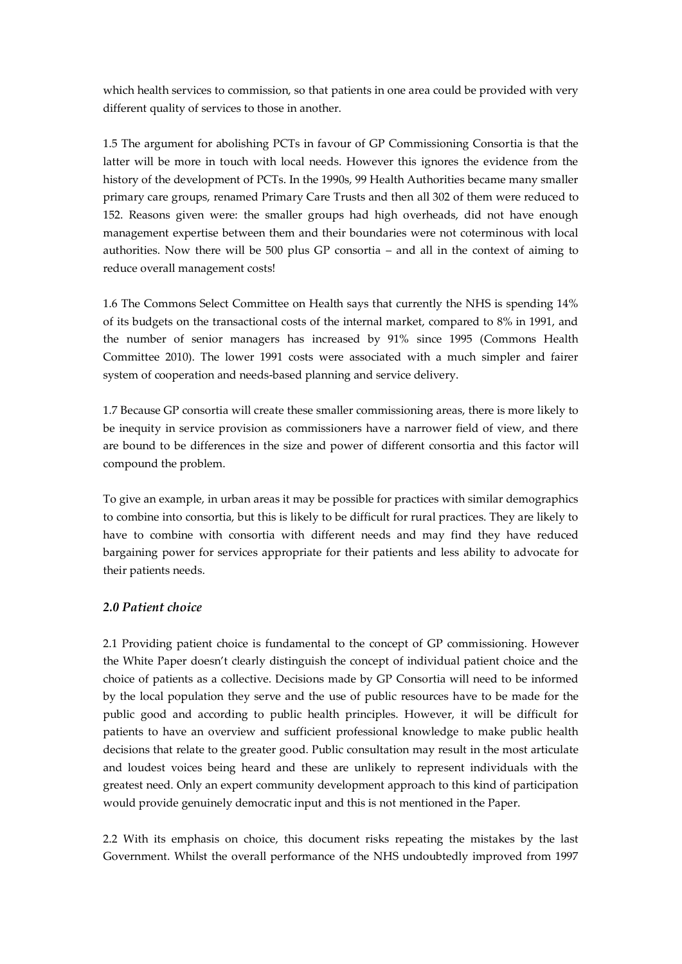which health services to commission, so that patients in one area could be provided with very different quality of services to those in another.

1.5 The argument for abolishing PCTs in favour of GP Commissioning Consortia is that the latter will be more in touch with local needs. However this ignores the evidence from the history of the development of PCTs. In the 1990s, 99 Health Authorities became many smaller primary care groups, renamed Primary Care Trusts and then all 302 of them were reduced to 152. Reasons given were: the smaller groups had high overheads, did not have enough management expertise between them and their boundaries were not coterminous with local authorities. Now there will be 500 plus GP consortia – and all in the context of aiming to reduce overall management costs!

1.6 The Commons Select Committee on Health says that currently the NHS is spending 14% of its budgets on the transactional costs of the internal market, compared to 8% in 1991, and the number of senior managers has increased by 91% since 1995 (Commons Health Committee 2010). The lower 1991 costs were associated with a much simpler and fairer system of cooperation and needs-based planning and service delivery.

1.7 Because GP consortia will create these smaller commissioning areas, there is more likely to be inequity in service provision as commissioners have a narrower field of view, and there are bound to be differences in the size and power of different consortia and this factor will compound the problem.

To give an example, in urban areas it may be possible for practices with similar demographics to combine into consortia, but this is likely to be difficult for rural practices. They are likely to have to combine with consortia with different needs and may find they have reduced bargaining power for services appropriate for their patients and less ability to advocate for their patients needs.

### *2.0 Patient choice*

2.1 Providing patient choice is fundamental to the concept of GP commissioning. However the White Paper doesn't clearly distinguish the concept of individual patient choice and the choice of patients as a collective. Decisions made by GP Consortia will need to be informed by the local population they serve and the use of public resources have to be made for the public good and according to public health principles. However, it will be difficult for patients to have an overview and sufficient professional knowledge to make public health decisions that relate to the greater good. Public consultation may result in the most articulate and loudest voices being heard and these are unlikely to represent individuals with the greatest need. Only an expert community development approach to this kind of participation would provide genuinely democratic input and this is not mentioned in the Paper.

2.2 With its emphasis on choice, this document risks repeating the mistakes by the last Government. Whilst the overall performance of the NHS undoubtedly improved from 1997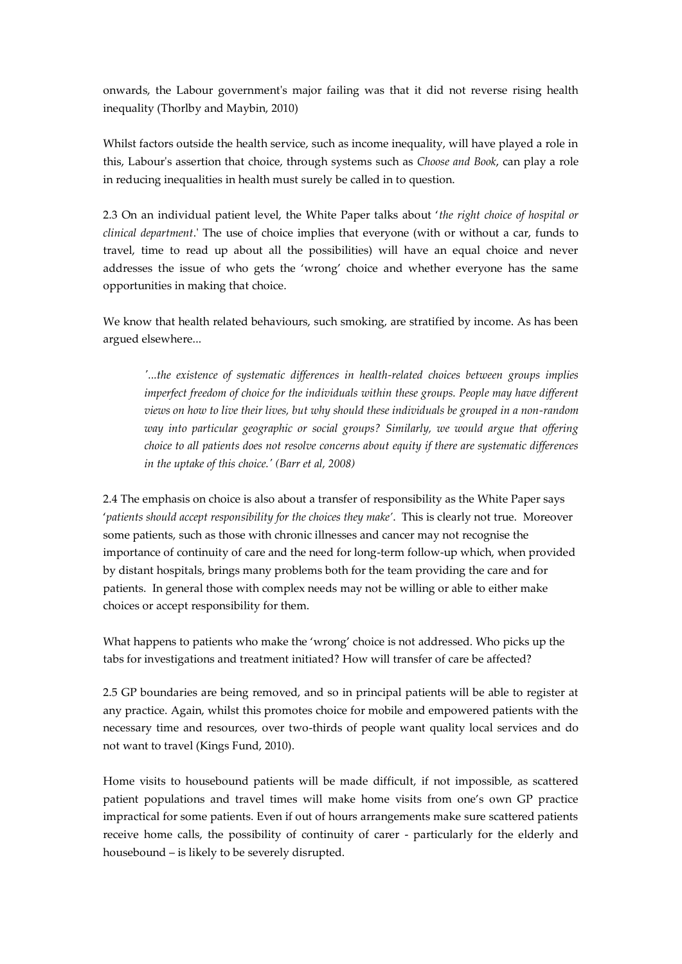onwards, the Labour government's major failing was that it did not reverse rising health inequality (Thorlby and Maybin, 2010)

Whilst factors outside the health service, such as income inequality, will have played a role in this, Labour's assertion that choice, through systems such as *Choose and Book*, can play a role in reducing inequalities in health must surely be called in to question.

2.3 On an individual patient level, the White Paper talks about '*the right choice of hospital or clinical department*.' The use of choice implies that everyone (with or without a car, funds to travel, time to read up about all the possibilities) will have an equal choice and never addresses the issue of who gets the 'wrong' choice and whether everyone has the same opportunities in making that choice.

We know that health related behaviours, such smoking, are stratified by income. As has been argued elsewhere...

*'...the existence of systematic differences in health-related choices between groups implies imperfect freedom of choice for the individuals within these groups. People may have different views on how to live their lives, but why should these individuals be grouped in a non-random way into particular geographic or social groups? Similarly, we would argue that offering choice to all patients does not resolve concerns about equity if there are systematic differences in the uptake of this choice.' (Barr et al, 2008)*

2.4 The emphasis on choice is also about a transfer of responsibility as the White Paper says '*patients should accept responsibility for the choices they make'*. This is clearly not true. Moreover some patients, such as those with chronic illnesses and cancer may not recognise the importance of continuity of care and the need for long-term follow-up which, when provided by distant hospitals, brings many problems both for the team providing the care and for patients. In general those with complex needs may not be willing or able to either make choices or accept responsibility for them.

What happens to patients who make the 'wrong' choice is not addressed. Who picks up the tabs for investigations and treatment initiated? How will transfer of care be affected?

2.5 GP boundaries are being removed, and so in principal patients will be able to register at any practice. Again, whilst this promotes choice for mobile and empowered patients with the necessary time and resources, over two-thirds of people want quality local services and do not want to travel (Kings Fund, 2010).

Home visits to housebound patients will be made difficult, if not impossible, as scattered patient populations and travel times will make home visits from one's own GP practice impractical for some patients. Even if out of hours arrangements make sure scattered patients receive home calls, the possibility of continuity of carer - particularly for the elderly and housebound – is likely to be severely disrupted.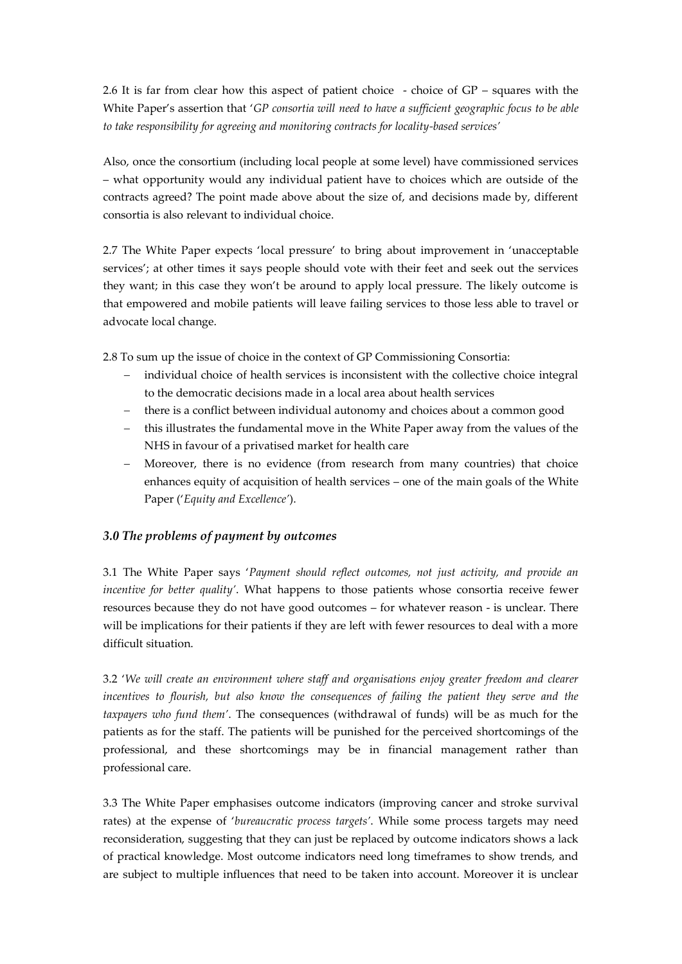2.6 It is far from clear how this aspect of patient choice - choice of GP – squares with the White Paper's assertion that '*GP consortia will need to have a sufficient geographic focus to be able to take responsibility for agreeing and monitoring contracts for locality-based services'*

Also, once the consortium (including local people at some level) have commissioned services – what opportunity would any individual patient have to choices which are outside of the contracts agreed? The point made above about the size of, and decisions made by, different consortia is also relevant to individual choice.

2.7 The White Paper expects 'local pressure' to bring about improvement in 'unacceptable services'; at other times it says people should vote with their feet and seek out the services they want; in this case they won't be around to apply local pressure. The likely outcome is that empowered and mobile patients will leave failing services to those less able to travel or advocate local change.

2.8 To sum up the issue of choice in the context of GP Commissioning Consortia:

- individual choice of health services is inconsistent with the collective choice integral to the democratic decisions made in a local area about health services
- there is a conflict between individual autonomy and choices about a common good
- this illustrates the fundamental move in the White Paper away from the values of the NHS in favour of a privatised market for health care
- Moreover, there is no evidence (from research from many countries) that choice enhances equity of acquisition of health services – one of the main goals of the White Paper ('*Equity and Excellence'*).

### *3.0 The problems of payment by outcomes*

3.1 The White Paper says '*Payment should reflect outcomes, not just activity, and provide an incentive for better quality'*. What happens to those patients whose consortia receive fewer resources because they do not have good outcomes – for whatever reason - is unclear. There will be implications for their patients if they are left with fewer resources to deal with a more difficult situation.

3.2 '*We will create an environment where staff and organisations enjoy greater freedom and clearer incentives to flourish, but also know the consequences of failing the patient they serve and the taxpayers who fund them'*. The consequences (withdrawal of funds) will be as much for the patients as for the staff. The patients will be punished for the perceived shortcomings of the professional, and these shortcomings may be in financial management rather than professional care.

3.3 The White Paper emphasises outcome indicators (improving cancer and stroke survival rates) at the expense of '*bureaucratic process targets'*. While some process targets may need reconsideration, suggesting that they can just be replaced by outcome indicators shows a lack of practical knowledge. Most outcome indicators need long timeframes to show trends, and are subject to multiple influences that need to be taken into account. Moreover it is unclear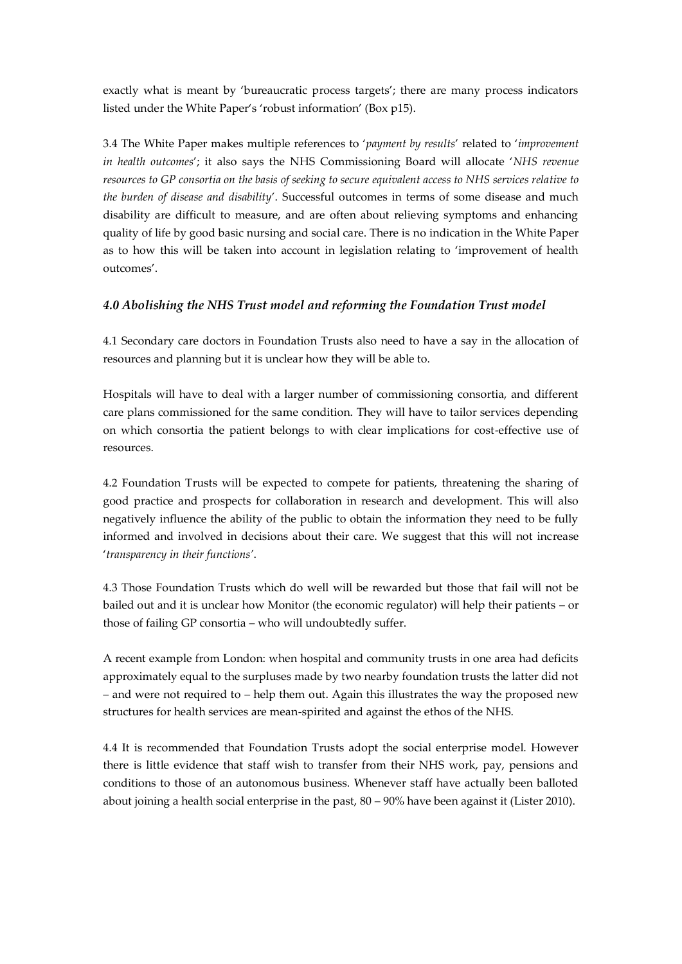exactly what is meant by 'bureaucratic process targets'; there are many process indicators listed under the White Paper's 'robust information' (Box p15).

3.4 The White Paper makes multiple references to '*payment by results*' related to '*improvement in health outcomes*'; it also says the NHS Commissioning Board will allocate '*NHS revenue resources to GP consortia on the basis of seeking to secure equivalent access to NHS services relative to the burden of disease and disability*'. Successful outcomes in terms of some disease and much disability are difficult to measure, and are often about relieving symptoms and enhancing quality of life by good basic nursing and social care. There is no indication in the White Paper as to how this will be taken into account in legislation relating to 'improvement of health outcomes'.

# *4.0 Abolishing the NHS Trust model and reforming the Foundation Trust model*

4.1 Secondary care doctors in Foundation Trusts also need to have a say in the allocation of resources and planning but it is unclear how they will be able to.

Hospitals will have to deal with a larger number of commissioning consortia, and different care plans commissioned for the same condition. They will have to tailor services depending on which consortia the patient belongs to with clear implications for cost-effective use of resources.

4.2 Foundation Trusts will be expected to compete for patients, threatening the sharing of good practice and prospects for collaboration in research and development. This will also negatively influence the ability of the public to obtain the information they need to be fully informed and involved in decisions about their care. We suggest that this will not increase '*transparency in their functions'*.

4.3 Those Foundation Trusts which do well will be rewarded but those that fail will not be bailed out and it is unclear how Monitor (the economic regulator) will help their patients – or those of failing GP consortia – who will undoubtedly suffer.

A recent example from London: when hospital and community trusts in one area had deficits approximately equal to the surpluses made by two nearby foundation trusts the latter did not – and were not required to – help them out. Again this illustrates the way the proposed new structures for health services are mean-spirited and against the ethos of the NHS.

4.4 It is recommended that Foundation Trusts adopt the social enterprise model. However there is little evidence that staff wish to transfer from their NHS work, pay, pensions and conditions to those of an autonomous business. Whenever staff have actually been balloted about joining a health social enterprise in the past, 80 – 90% have been against it (Lister 2010).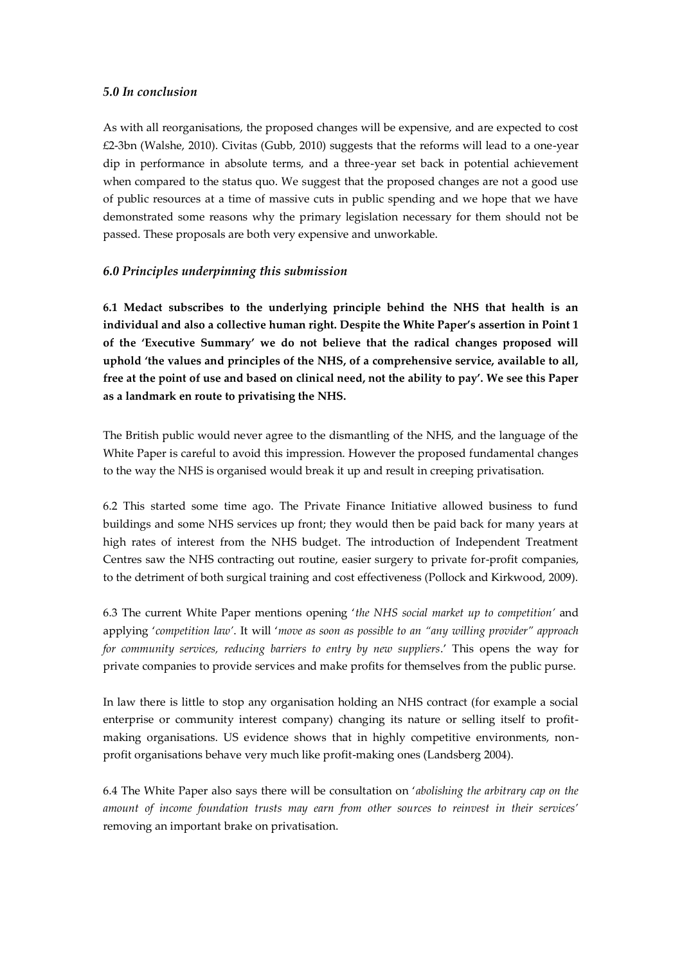#### *5.0 In conclusion*

As with all reorganisations, the proposed changes will be expensive, and are expected to cost £2-3bn (Walshe, 2010). Civitas (Gubb, 2010) suggests that the reforms will lead to a one-year dip in performance in absolute terms, and a three-year set back in potential achievement when compared to the status quo. We suggest that the proposed changes are not a good use of public resources at a time of massive cuts in public spending and we hope that we have demonstrated some reasons why the primary legislation necessary for them should not be passed. These proposals are both very expensive and unworkable.

#### *6.0 Principles underpinning this submission*

**6.1 Medact subscribes to the underlying principle behind the NHS that health is an individual and also a collective human right. Despite the White Paper's assertion in Point 1 of the 'Executive Summary' we do not believe that the radical changes proposed will uphold 'the values and principles of the NHS, of a comprehensive service, available to all, free at the point of use and based on clinical need, not the ability to pay'. We see this Paper as a landmark en route to privatising the NHS.**

The British public would never agree to the dismantling of the NHS, and the language of the White Paper is careful to avoid this impression. However the proposed fundamental changes to the way the NHS is organised would break it up and result in creeping privatisation.

6.2 This started some time ago. The Private Finance Initiative allowed business to fund buildings and some NHS services up front; they would then be paid back for many years at high rates of interest from the NHS budget. The introduction of Independent Treatment Centres saw the NHS contracting out routine, easier surgery to private for-profit companies, to the detriment of both surgical training and cost effectiveness (Pollock and Kirkwood, 2009).

6.3 The current White Paper mentions opening '*the NHS social market up to competition'* and applying '*competition law'*. It will '*move as soon as possible to an "any willing provider" approach for community services, reducing barriers to entry by new suppliers*.' This opens the way for private companies to provide services and make profits for themselves from the public purse.

In law there is little to stop any organisation holding an NHS contract (for example a social enterprise or community interest company) changing its nature or selling itself to profitmaking organisations. US evidence shows that in highly competitive environments, nonprofit organisations behave very much like profit-making ones (Landsberg 2004).

6.4 The White Paper also says there will be consultation on '*abolishing the arbitrary cap on the amount of income foundation trusts may earn from other sources to reinvest in their services'* removing an important brake on privatisation.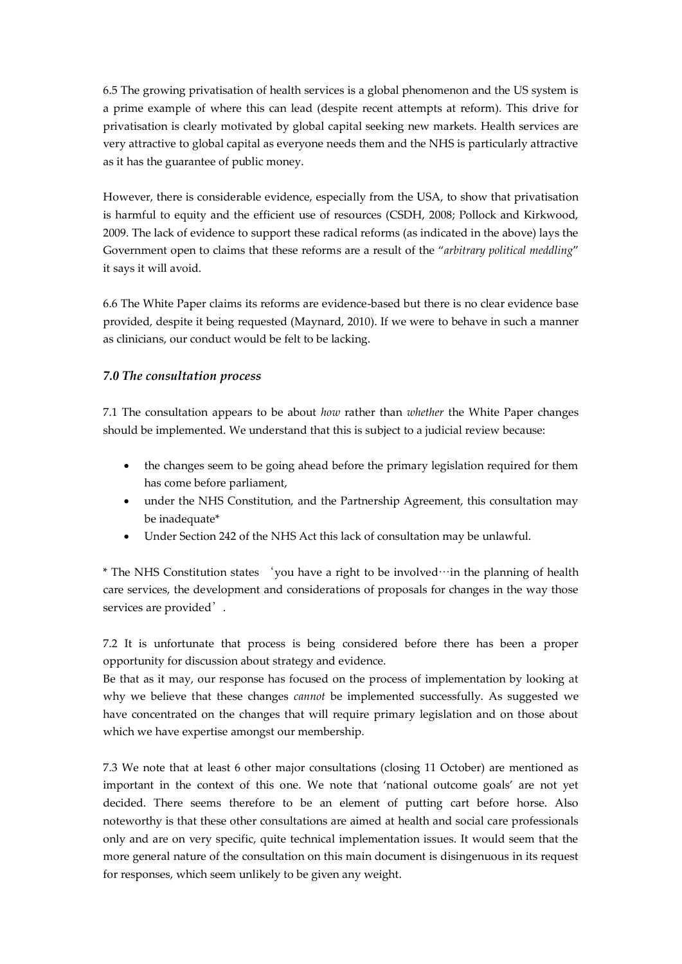6.5 The growing privatisation of health services is a global phenomenon and the US system is a prime example of where this can lead (despite recent attempts at reform). This drive for privatisation is clearly motivated by global capital seeking new markets. Health services are very attractive to global capital as everyone needs them and the NHS is particularly attractive as it has the guarantee of public money.

However, there is considerable evidence, especially from the USA, to show that privatisation is harmful to equity and the efficient use of resources (CSDH, 2008; Pollock and Kirkwood, 2009. The lack of evidence to support these radical reforms (as indicated in the above) lays the Government open to claims that these reforms are a result of the "*arbitrary political meddling*" it says it will avoid.

6.6 The White Paper claims its reforms are evidence-based but there is no clear evidence base provided, despite it being requested (Maynard, 2010). If we were to behave in such a manner as clinicians, our conduct would be felt to be lacking.

# *7.0 The consultation process*

7.1 The consultation appears to be about *how* rather than *whether* the White Paper changes should be implemented. We understand that this is subject to a judicial review because:

- the changes seem to be going ahead before the primary legislation required for them has come before parliament,
- under the NHS Constitution, and the Partnership Agreement, this consultation may be inadequate\*
- Under Section 242 of the NHS Act this lack of consultation may be unlawful.

\* The NHS Constitution states 'you have a right to be involved…in the planning of health care services, the development and considerations of proposals for changes in the way those services are provided'.

7.2 It is unfortunate that process is being considered before there has been a proper opportunity for discussion about strategy and evidence.

Be that as it may, our response has focused on the process of implementation by looking at why we believe that these changes *cannot* be implemented successfully. As suggested we have concentrated on the changes that will require primary legislation and on those about which we have expertise amongst our membership.

7.3 We note that at least 6 other major consultations (closing 11 October) are mentioned as important in the context of this one. We note that 'national outcome goals' are not yet decided. There seems therefore to be an element of putting cart before horse. Also noteworthy is that these other consultations are aimed at health and social care professionals only and are on very specific, quite technical implementation issues. It would seem that the more general nature of the consultation on this main document is disingenuous in its request for responses, which seem unlikely to be given any weight.